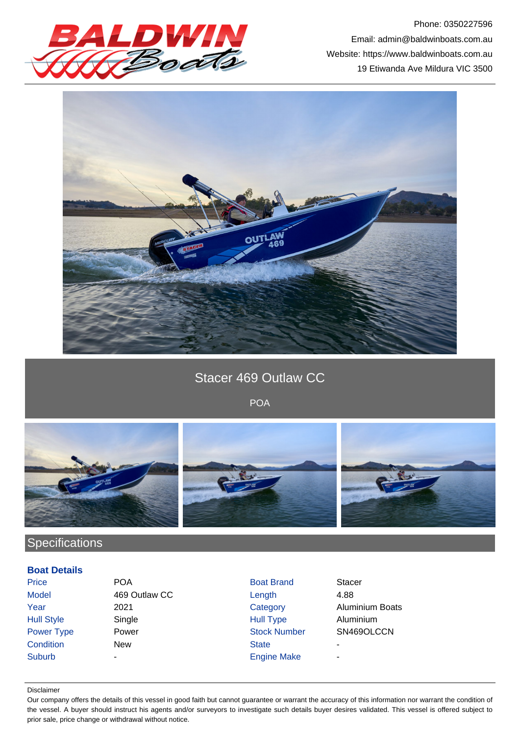

Phone: 0350227596 Email: admin@baldwinboats.com.au Website: https://www.baldwinboats.com.au 19 Etiwanda Ave Mildura VIC 3500



## Stacer 469 Outlaw CC

POA



# **Specifications**

#### **Boat Details**

| Price             | <b>POA</b>    | <b>Boat Brand</b>   | <b>Stacer</b>          |  |
|-------------------|---------------|---------------------|------------------------|--|
| <b>Model</b>      | 469 Outlaw CC | Length              | 4.88                   |  |
| Year              | 2021          | Category            | <b>Aluminium Boats</b> |  |
| <b>Hull Style</b> | Single        | <b>Hull Type</b>    | Aluminium              |  |
| <b>Power Type</b> | Power         | <b>Stock Number</b> | SN469OLCCN             |  |
| <b>Condition</b>  | <b>New</b>    | <b>State</b>        | ٠                      |  |
| Suburb            | -             | <b>Engine Make</b>  | ۰                      |  |
|                   |               |                     |                        |  |

#### Disclaimer

Our company offers the details of this vessel in good faith but cannot guarantee or warrant the accuracy of this information nor warrant the condition of the vessel. A buyer should instruct his agents and/or surveyors to investigate such details buyer desires validated. This vessel is offered subject to prior sale, price change or withdrawal without notice.